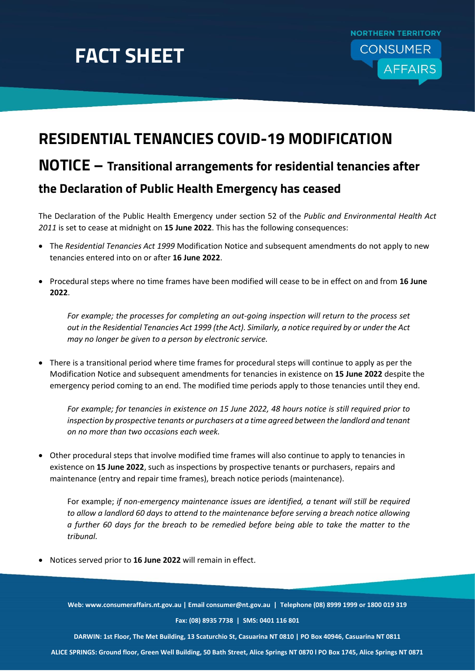## **FACT SHEET**



## **RESIDENTIAL TENANCIES COVID-19 MODIFICATION NOTICE – Transitional arrangements for residential tenancies after the Declaration of Public Health Emergency has ceased**

The Declaration of the Public Health Emergency under section 52 of the *Public and Environmental Health Act 2011* is set to cease at midnight on **15 June 2022**. This has the following consequences:

- The *Residential Tenancies Act 1999* Modification Notice and subsequent amendments do not apply to new tenancies entered into on or after **16 June 2022**.
- Procedural steps where no time frames have been modified will cease to be in effect on and from **16 June 2022**.

*For example; the processes for completing an out-going inspection will return to the process set out in the Residential Tenancies Act 1999 (the Act). Similarly, a notice required by or under the Act may no longer be given to a person by electronic service.*

 There is a transitional period where time frames for procedural steps will continue to apply as per the Modification Notice and subsequent amendments for tenancies in existence on **15 June 2022** despite the emergency period coming to an end. The modified time periods apply to those tenancies until they end.

*For example; for tenancies in existence on 15 June 2022, 48 hours notice is still required prior to inspection by prospective tenants or purchasers at a time agreed between the landlord and tenant on no more than two occasions each week.*

 Other procedural steps that involve modified time frames will also continue to apply to tenancies in existence on **15 June 2022**, such as inspections by prospective tenants or purchasers, repairs and maintenance (entry and repair time frames), breach notice periods (maintenance).

For example; *if non-emergency maintenance issues are identified, a tenant will still be required to allow a landlord 60 days to attend to the maintenance before serving a breach notice allowing a further 60 days for the breach to be remedied before being able to take the matter to the tribunal.*

Notices served prior to **16 June 2022** will remain in effect.

**Web: www.consumeraffairs.nt.gov.au | Email consumer@nt.gov.au | Telephone (08) 8999 1999 or 1800 019 319 Fax: (08) 8935 7738 | SMS: 0401 116 801**

**DARWIN: 1st Floor, The Met Building, 13 Scaturchio St, Casuarina NT 0810 | PO Box 40946, Casuarina NT 0811**

**ALICE SPRINGS: Ground floor, Green Well Building, 50 Bath Street, Alice Springs NT 0870 l PO Box 1745, Alice Springs NT 0871**